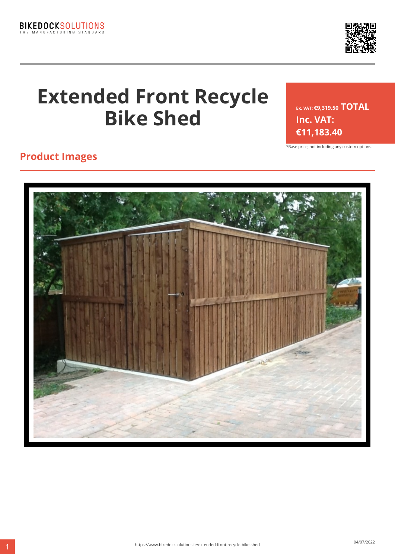

# **Extended Front Recycle Bike Shed**

**Ex. VAT: €9,319.50 TOTAL Inc. VAT: €11,183.40**

\*Base price, not including any custom options.

### **Product Images**

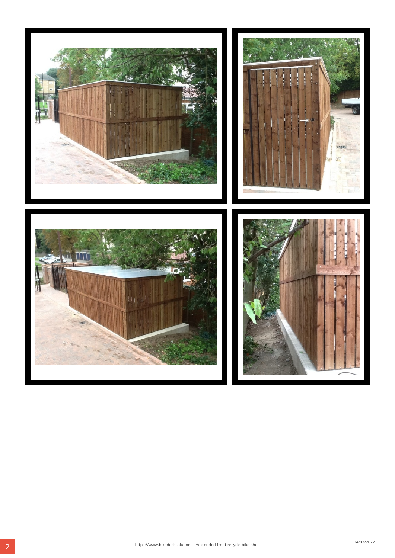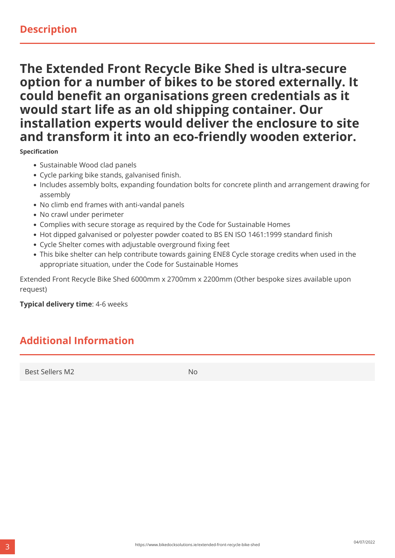**The Extended Front Recycle Bike Shed is ultra-secure option for a number of bikes to be stored externally. It could benefit an organisations green credentials as it would start life as an old shipping container. Our installation experts would deliver the enclosure to site and transform it into an eco-friendly wooden exterior.**

#### **Specification**

- Sustainable Wood clad panels
- Cycle parking bike stands, galvanised finish.
- Includes assembly bolts, expanding foundation bolts for concrete plinth and arrangement drawing for assembly
- No climb end frames with anti-vandal panels
- No crawl under perimeter
- Complies with secure storage as required by the Code for Sustainable Homes
- Hot dipped galvanised or polyester powder coated to BS EN ISO 1461:1999 standard finish
- Cycle Shelter comes with adjustable overground fixing feet
- This bike shelter can help contribute towards gaining ENE8 Cycle storage credits when used in the appropriate situation, under the Code for Sustainable Homes

Extended Front Recycle Bike Shed 6000mm x 2700mm x 2200mm (Other bespoke sizes available upon request)

**Typical delivery time**: 4-6 weeks

## **Additional Information**

Best Sellers M2 No